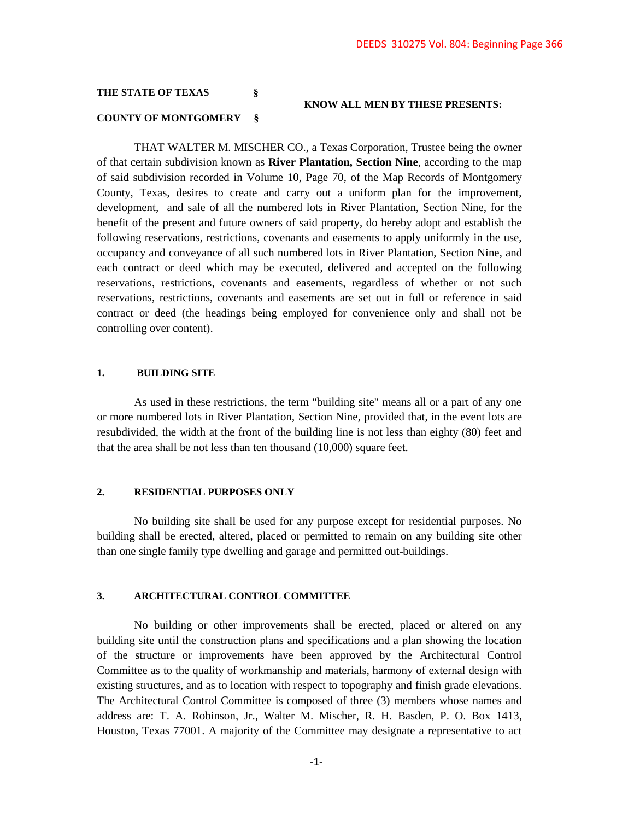### **THE STATE OF TEXAS §**

#### **KNOW ALL MEN BY THESE PRESENTS:**

### **COUNTY OF MONTGOMERY §**

THAT WALTER M. MISCHER CO., a Texas Corporation, Trustee being the owner of that certain subdivision known as **River Plantation, Section Nine**, according to the map of said subdivision recorded in Volume 10, Page 70, of the Map Records of Montgomery County, Texas, desires to create and carry out a uniform plan for the improvement, development, and sale of all the numbered lots in River Plantation, Section Nine, for the benefit of the present and future owners of said property, do hereby adopt and establish the following reservations, restrictions, covenants and easements to apply uniformly in the use, occupancy and conveyance of all such numbered lots in River Plantation, Section Nine, and each contract or deed which may be executed, delivered and accepted on the following reservations, restrictions, covenants and easements, regardless of whether or not such reservations, restrictions, covenants and easements are set out in full or reference in said contract or deed (the headings being employed for convenience only and shall not be controlling over content).

#### **1. BUILDING SITE**

As used in these restrictions, the term "building site" means all or a part of any one or more numbered lots in River Plantation, Section Nine, provided that, in the event lots are resubdivided, the width at the front of the building line is not less than eighty (80) feet and that the area shall be not less than ten thousand (10,000) square feet.

#### **2. RESIDENTIAL PURPOSES ONLY**

No building site shall be used for any purpose except for residential purposes. No building shall be erected, altered, placed or permitted to remain on any building site other than one single family type dwelling and garage and permitted out-buildings.

#### **3. ARCHITECTURAL CONTROL COMMITTEE**

No building or other improvements shall be erected, placed or altered on any building site until the construction plans and specifications and a plan showing the location of the structure or improvements have been approved by the Architectural Control Committee as to the quality of workmanship and materials, harmony of external design with existing structures, and as to location with respect to topography and finish grade elevations. The Architectural Control Committee is composed of three (3) members whose names and address are: T. A. Robinson, Jr., Walter M. Mischer, R. H. Basden, P. O. Box 1413, Houston, Texas 77001. A majority of the Committee may designate a representative to act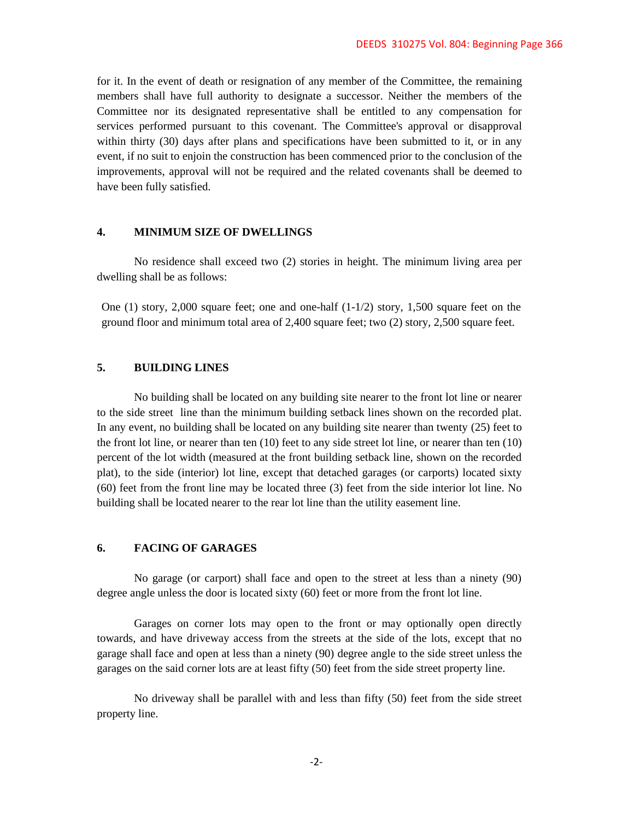for it. In the event of death or resignation of any member of the Committee, the remaining members shall have full authority to designate a successor. Neither the members of the Committee nor its designated representative shall be entitled to any compensation for services performed pursuant to this covenant. The Committee's approval or disapproval within thirty (30) days after plans and specifications have been submitted to it, or in any event, if no suit to enjoin the construction has been commenced prior to the conclusion of the improvements, approval will not be required and the related covenants shall be deemed to have been fully satisfied.

#### **4. MINIMUM SIZE OF DWELLINGS**

No residence shall exceed two (2) stories in height. The minimum living area per dwelling shall be as follows:

One (1) story, 2,000 square feet; one and one-half (1-1/2) story, 1,500 square feet on the ground floor and minimum total area of 2,400 square feet; two (2) story, 2,500 square feet.

# **5. BUILDING LINES**

No building shall be located on any building site nearer to the front lot line or nearer to the side street line than the minimum building setback lines shown on the recorded plat. In any event, no building shall be located on any building site nearer than twenty (25) feet to the front lot line, or nearer than ten (10) feet to any side street lot line, or nearer than ten (10) percent of the lot width (measured at the front building setback line, shown on the recorded plat), to the side (interior) lot line, except that detached garages (or carports) located sixty (60) feet from the front line may be located three (3) feet from the side interior lot line. No building shall be located nearer to the rear lot line than the utility easement line.

# **6. FACING OF GARAGES**

No garage (or carport) shall face and open to the street at less than a ninety (90) degree angle unless the door is located sixty (60) feet or more from the front lot line.

Garages on corner lots may open to the front or may optionally open directly towards, and have driveway access from the streets at the side of the lots, except that no garage shall face and open at less than a ninety (90) degree angle to the side street unless the garages on the said corner lots are at least fifty (50) feet from the side street property line.

No driveway shall be parallel with and less than fifty (50) feet from the side street property line.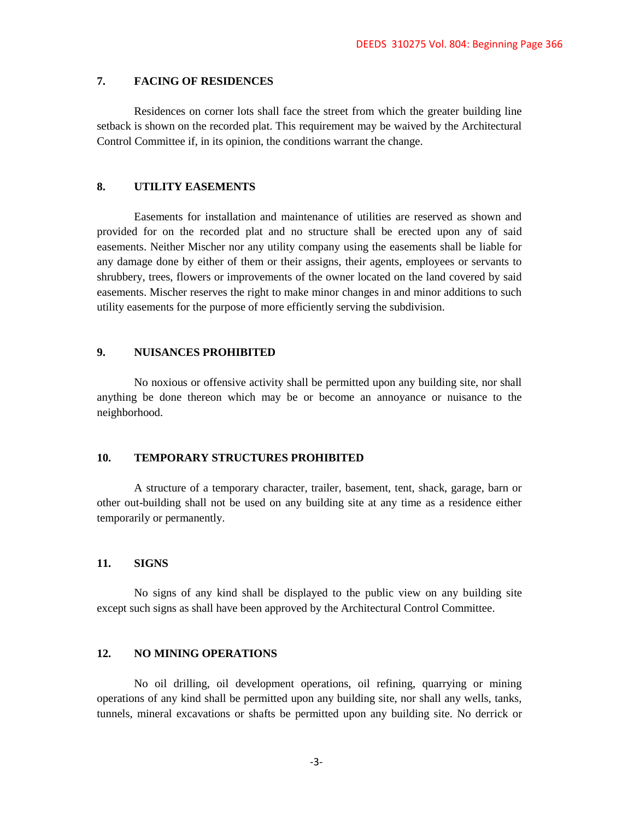# **7. FACING OF RESIDENCES**

Residences on corner lots shall face the street from which the greater building line setback is shown on the recorded plat. This requirement may be waived by the Architectural Control Committee if, in its opinion, the conditions warrant the change.

### **8. UTILITY EASEMENTS**

Easements for installation and maintenance of utilities are reserved as shown and provided for on the recorded plat and no structure shall be erected upon any of said easements. Neither Mischer nor any utility company using the easements shall be liable for any damage done by either of them or their assigns, their agents, employees or servants to shrubbery, trees, flowers or improvements of the owner located on the land covered by said easements. Mischer reserves the right to make minor changes in and minor additions to such utility easements for the purpose of more efficiently serving the subdivision.

### **9. NUISANCES PROHIBITED**

No noxious or offensive activity shall be permitted upon any building site, nor shall anything be done thereon which may be or become an annoyance or nuisance to the neighborhood.

### **10. TEMPORARY STRUCTURES PROHIBITED**

A structure of a temporary character, trailer, basement, tent, shack, garage, barn or other out-building shall not be used on any building site at any time as a residence either temporarily or permanently.

# **11. SIGNS**

No signs of any kind shall be displayed to the public view on any building site except such signs as shall have been approved by the Architectural Control Committee.

### **12. NO MINING OPERATIONS**

No oil drilling, oil development operations, oil refining, quarrying or mining operations of any kind shall be permitted upon any building site, nor shall any wells, tanks, tunnels, mineral excavations or shafts be permitted upon any building site. No derrick or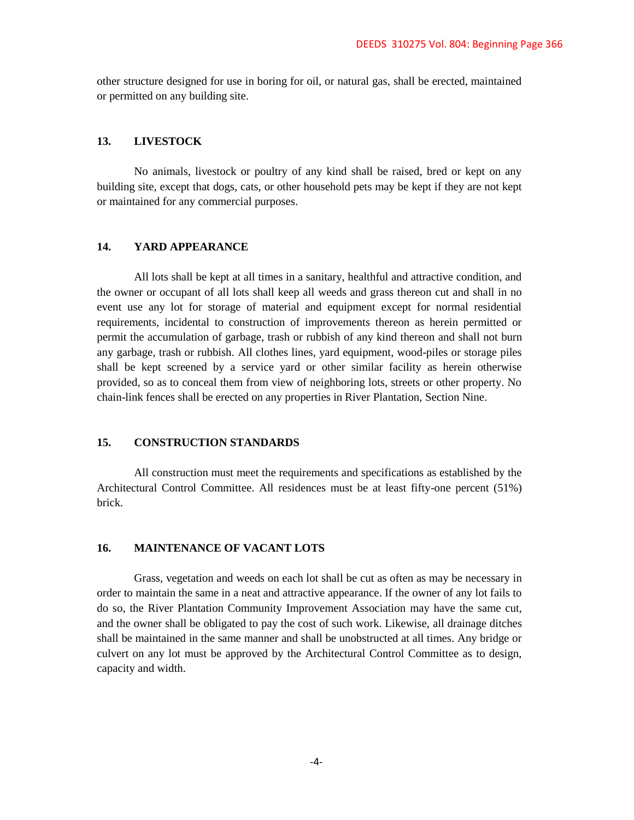other structure designed for use in boring for oil, or natural gas, shall be erected, maintained or permitted on any building site.

### **13. LIVESTOCK**

No animals, livestock or poultry of any kind shall be raised, bred or kept on any building site, except that dogs, cats, or other household pets may be kept if they are not kept or maintained for any commercial purposes.

# **14. YARD APPEARANCE**

All lots shall be kept at all times in a sanitary, healthful and attractive condition, and the owner or occupant of all lots shall keep all weeds and grass thereon cut and shall in no event use any lot for storage of material and equipment except for normal residential requirements, incidental to construction of improvements thereon as herein permitted or permit the accumulation of garbage, trash or rubbish of any kind thereon and shall not burn any garbage, trash or rubbish. All clothes lines, yard equipment, wood-piles or storage piles shall be kept screened by a service yard or other similar facility as herein otherwise provided, so as to conceal them from view of neighboring lots, streets or other property. No chain-link fences shall be erected on any properties in River Plantation, Section Nine.

# **15. CONSTRUCTION STANDARDS**

All construction must meet the requirements and specifications as established by the Architectural Control Committee. All residences must be at least fifty-one percent (51%) brick.

# **16. MAINTENANCE OF VACANT LOTS**

Grass, vegetation and weeds on each lot shall be cut as often as may be necessary in order to maintain the same in a neat and attractive appearance. If the owner of any lot fails to do so, the River Plantation Community Improvement Association may have the same cut, and the owner shall be obligated to pay the cost of such work. Likewise, all drainage ditches shall be maintained in the same manner and shall be unobstructed at all times. Any bridge or culvert on any lot must be approved by the Architectural Control Committee as to design, capacity and width.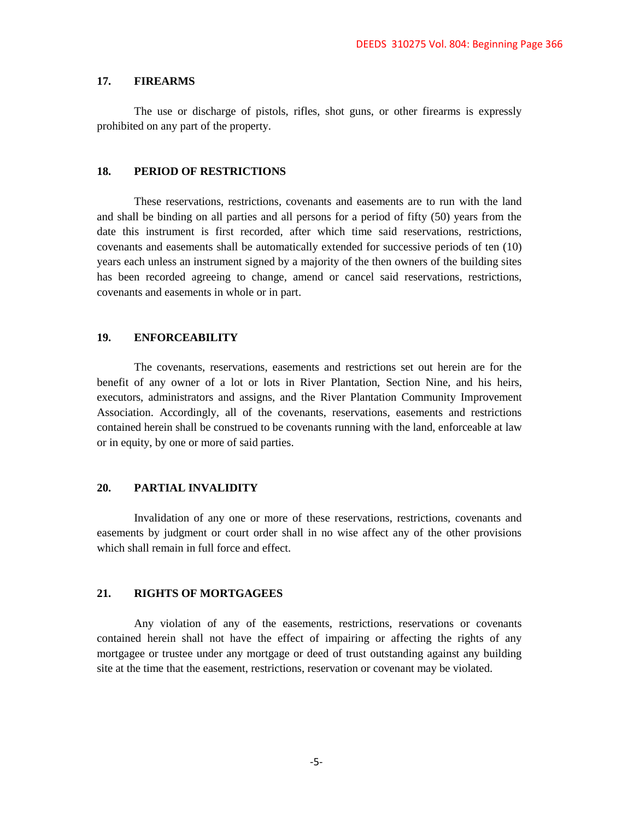### **17. FIREARMS**

The use or discharge of pistols, rifles, shot guns, or other firearms is expressly prohibited on any part of the property.

### **18. PERIOD OF RESTRICTIONS**

These reservations, restrictions, covenants and easements are to run with the land and shall be binding on all parties and all persons for a period of fifty (50) years from the date this instrument is first recorded, after which time said reservations, restrictions, covenants and easements shall be automatically extended for successive periods of ten (10) years each unless an instrument signed by a majority of the then owners of the building sites has been recorded agreeing to change, amend or cancel said reservations, restrictions, covenants and easements in whole or in part.

### **19. ENFORCEABILITY**

The covenants, reservations, easements and restrictions set out herein are for the benefit of any owner of a lot or lots in River Plantation, Section Nine, and his heirs, executors, administrators and assigns, and the River Plantation Community Improvement Association. Accordingly, all of the covenants, reservations, easements and restrictions contained herein shall be construed to be covenants running with the land, enforceable at law or in equity, by one or more of said parties.

# **20. PARTIAL INVALIDITY**

Invalidation of any one or more of these reservations, restrictions, covenants and easements by judgment or court order shall in no wise affect any of the other provisions which shall remain in full force and effect.

### **21. RIGHTS OF MORTGAGEES**

Any violation of any of the easements, restrictions, reservations or covenants contained herein shall not have the effect of impairing or affecting the rights of any mortgagee or trustee under any mortgage or deed of trust outstanding against any building site at the time that the easement, restrictions, reservation or covenant may be violated.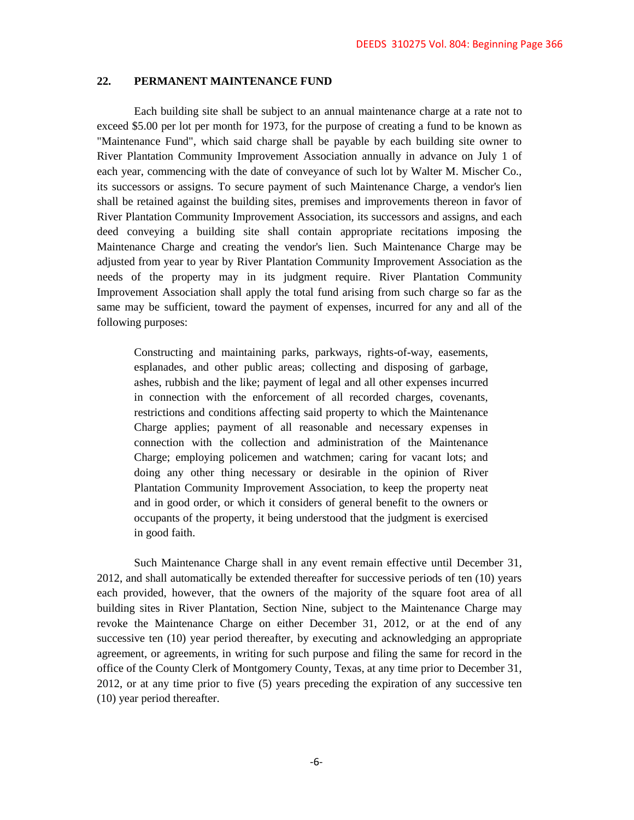# **22. PERMANENT MAINTENANCE FUND**

Each building site shall be subject to an annual maintenance charge at a rate not to exceed \$5.00 per lot per month for 1973, for the purpose of creating a fund to be known as "Maintenance Fund", which said charge shall be payable by each building site owner to River Plantation Community Improvement Association annually in advance on July 1 of each year, commencing with the date of conveyance of such lot by Walter M. Mischer Co., its successors or assigns. To secure payment of such Maintenance Charge, a vendor's lien shall be retained against the building sites, premises and improvements thereon in favor of River Plantation Community Improvement Association, its successors and assigns, and each deed conveying a building site shall contain appropriate recitations imposing the Maintenance Charge and creating the vendor's lien. Such Maintenance Charge may be adjusted from year to year by River Plantation Community Improvement Association as the needs of the property may in its judgment require. River Plantation Community Improvement Association shall apply the total fund arising from such charge so far as the same may be sufficient, toward the payment of expenses, incurred for any and all of the following purposes:

Constructing and maintaining parks, parkways, rights-of-way, easements, esplanades, and other public areas; collecting and disposing of garbage, ashes, rubbish and the like; payment of legal and all other expenses incurred in connection with the enforcement of all recorded charges, covenants, restrictions and conditions affecting said property to which the Maintenance Charge applies; payment of all reasonable and necessary expenses in connection with the collection and administration of the Maintenance Charge; employing policemen and watchmen; caring for vacant lots; and doing any other thing necessary or desirable in the opinion of River Plantation Community Improvement Association, to keep the property neat and in good order, or which it considers of general benefit to the owners or occupants of the property, it being understood that the judgment is exercised in good faith.

Such Maintenance Charge shall in any event remain effective until December 31, 2012, and shall automatically be extended thereafter for successive periods of ten (10) years each provided, however, that the owners of the majority of the square foot area of all building sites in River Plantation, Section Nine, subject to the Maintenance Charge may revoke the Maintenance Charge on either December 31, 2012, or at the end of any successive ten (10) year period thereafter, by executing and acknowledging an appropriate agreement, or agreements, in writing for such purpose and filing the same for record in the office of the County Clerk of Montgomery County, Texas, at any time prior to December 31, 2012, or at any time prior to five (5) years preceding the expiration of any successive ten (10) year period thereafter.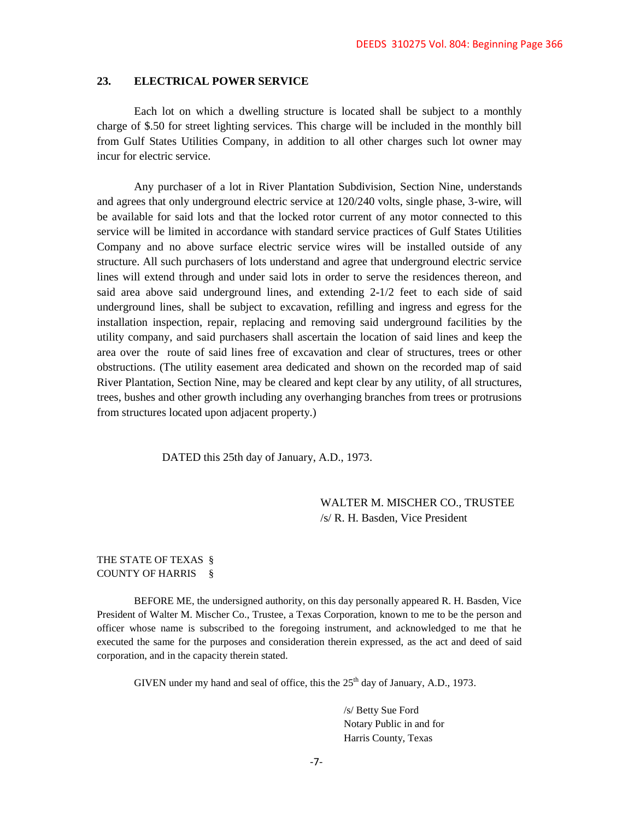### **23. ELECTRICAL POWER SERVICE**

Each lot on which a dwelling structure is located shall be subject to a monthly charge of \$.50 for street lighting services. This charge will be included in the monthly bill from Gulf States Utilities Company, in addition to all other charges such lot owner may incur for electric service.

Any purchaser of a lot in River Plantation Subdivision, Section Nine, understands and agrees that only underground electric service at 120/240 volts, single phase, 3-wire, will be available for said lots and that the locked rotor current of any motor connected to this service will be limited in accordance with standard service practices of Gulf States Utilities Company and no above surface electric service wires will be installed outside of any structure. All such purchasers of lots understand and agree that underground electric service lines will extend through and under said lots in order to serve the residences thereon, and said area above said underground lines, and extending 2-1/2 feet to each side of said underground lines, shall be subject to excavation, refilling and ingress and egress for the installation inspection, repair, replacing and removing said underground facilities by the utility company, and said purchasers shall ascertain the location of said lines and keep the area over the route of said lines free of excavation and clear of structures, trees or other obstructions. (The utility easement area dedicated and shown on the recorded map of said River Plantation, Section Nine, may be cleared and kept clear by any utility, of all structures, trees, bushes and other growth including any overhanging branches from trees or protrusions from structures located upon adjacent property.)

DATED this 25th day of January, A.D., 1973.

WALTER M. MISCHER CO., TRUSTEE /s/ R. H. Basden, Vice President

# THE STATE OF TEXAS § COUNTY OF HARRIS §

BEFORE ME, the undersigned authority, on this day personally appeared R. H. Basden, Vice President of Walter M. Mischer Co., Trustee, a Texas Corporation, known to me to be the person and officer whose name is subscribed to the foregoing instrument, and acknowledged to me that he executed the same for the purposes and consideration therein expressed, as the act and deed of said corporation, and in the capacity therein stated.

GIVEN under my hand and seal of office, this the  $25<sup>th</sup>$  day of January, A.D., 1973.

/s/ Betty Sue Ford Notary Public in and for Harris County, Texas